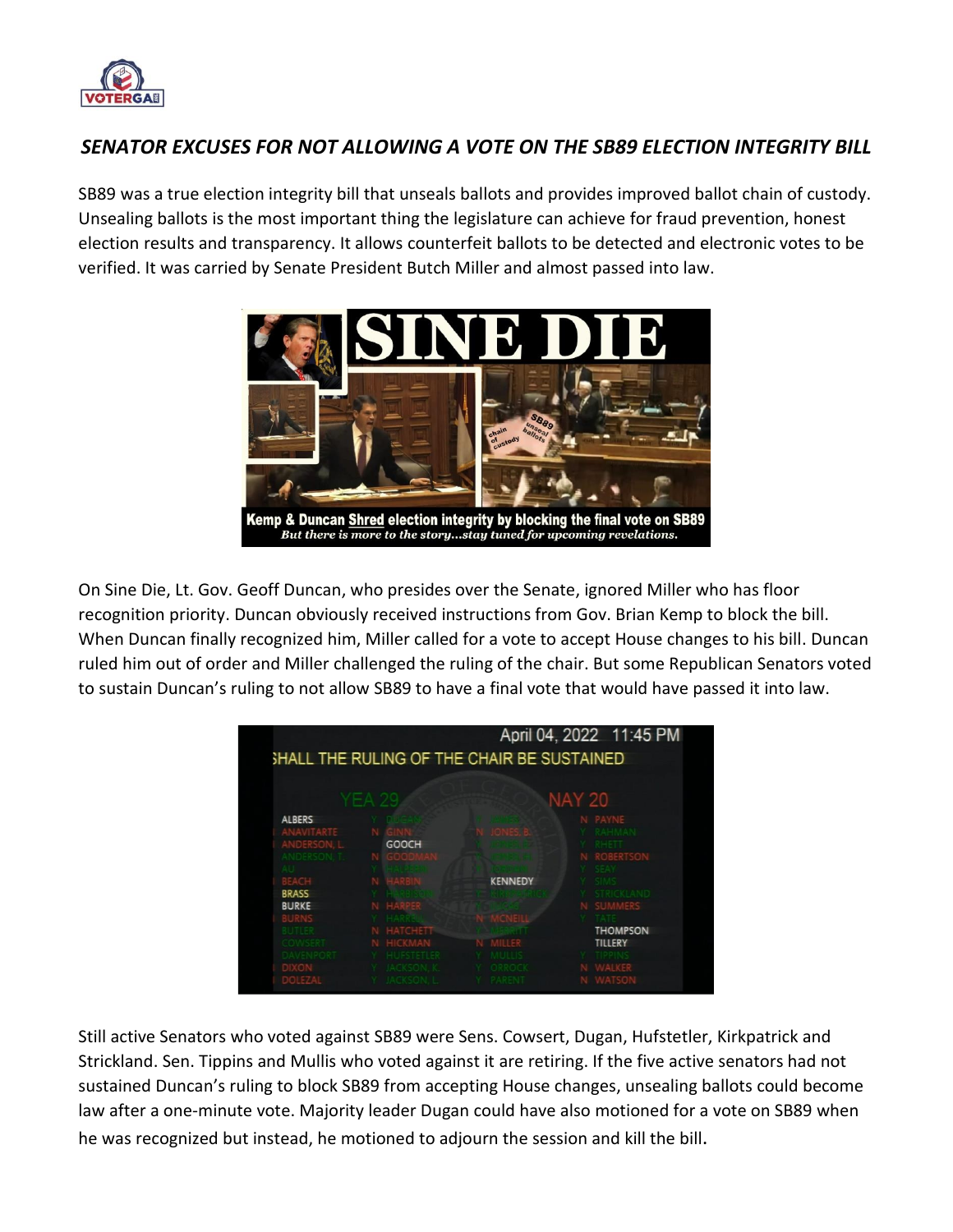

# *SENATOR EXCUSES FOR NOT ALLOWING A VOTE ON THE SB89 ELECTION INTEGRITY BILL*

SB89 was a true election integrity bill that unseals ballots and provides improved ballot chain of custody. Unsealing ballots is the most important thing the legislature can achieve for fraud prevention, honest election results and transparency. It allows counterfeit ballots to be detected and electronic votes to be verified. It was carried by Senate President Butch Miller and almost passed into law.



On Sine Die, Lt. Gov. Geoff Duncan, who presides over the Senate, ignored Miller who has floor recognition priority. Duncan obviously received instructions from Gov. Brian Kemp to block the bill. When Duncan finally recognized him, Miller called for a vote to accept House changes to his bill. Duncan ruled him out of order and Miller challenged the ruling of the chair. But some Republican Senators voted to sustain Duncan's ruling to not allow SB89 to have a final vote that would have passed it into law.



Still active Senators who voted against SB89 were Sens. Cowsert, Dugan, Hufstetler, Kirkpatrick and Strickland. Sen. Tippins and Mullis who voted against it are retiring. If the five active senators had not sustained Duncan's ruling to block SB89 from accepting House changes, unsealing ballots could become law after a one-minute vote. Majority leader Dugan could have also motioned for a vote on SB89 when he was recognized but instead, he motioned to adjourn the session and kill the bill.